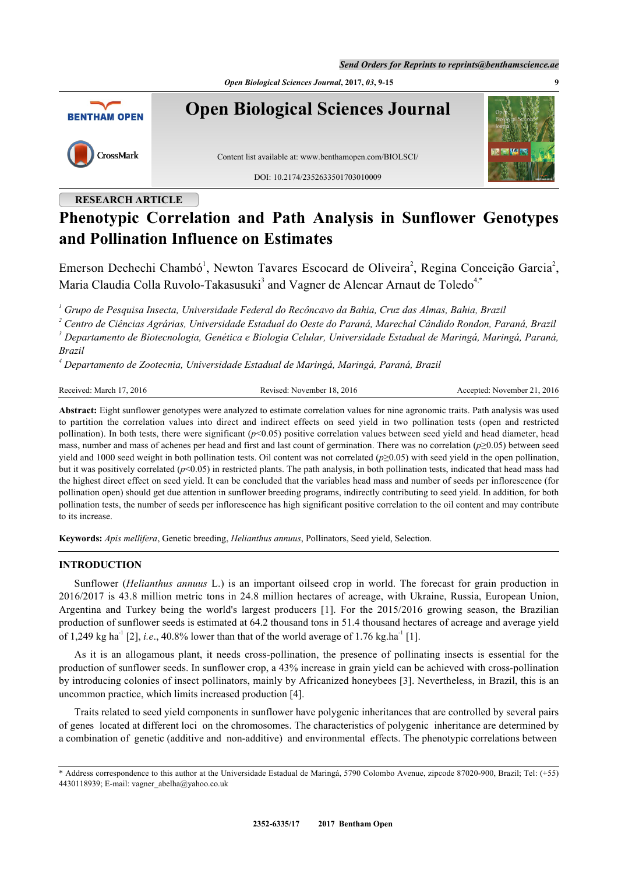*Open Biological Sciences Journal***, 2017,** *03***, 9-15 9**



## **RESEARCH ARTICLE**

# **Phenotypic Correlation and Path Analysis in Sunflower Genotypes and Pollination Influence on Estimates**

Emerson Dechechi Chambó<sup>[1](#page-0-0)</sup>, Newton Tavares Escocard de Oliveira<sup>[2](#page-0-1)</sup>, Regina Conceição Garcia<sup>2</sup>, Maria Claudia Colla Ruvolo-Takasusuki<sup>[3](#page-0-2)</sup> and Vagner de Alencar Arnaut de Toledo<sup>[4,](#page-0-3)[\\*](#page-0-4)</sup>

<span id="page-0-0"></span>*1 Grupo de Pesquisa Insecta, Universidade Federal do Recôncavo da Bahia, Cruz das Almas, Bahia, Brazil*

<span id="page-0-2"></span><span id="page-0-1"></span>*2 Centro de Ciências Agrárias, Universidade Estadual do Oeste do Paraná, Marechal Cândido Rondon, Paraná, Brazil 3 Departamento de Biotecnologia, Genética e Biologia Celular, Universidade Estadual de Maringá, Maringá, Paraná, Brazil*

<span id="page-0-3"></span>*4 Departamento de Zootecnia, Universidade Estadual de Maringá, Maringá, Paraná, Brazil*

Received: March 17, 2016 Revised: November 18, 2016 Accepted: November 21, 2016

**Abstract:** Eight sunflower genotypes were analyzed to estimate correlation values for nine agronomic traits. Path analysis was used to partition the correlation values into direct and indirect effects on seed yield in two pollination tests (open and restricted pollination). In both tests, there were significant (*p*<0.05) positive correlation values between seed yield and head diameter, head mass, number and mass of achenes per head and first and last count of germination. There was no correlation (*p*≥0.05) between seed yield and 1000 seed weight in both pollination tests. Oil content was not correlated (*p*≥0.05) with seed yield in the open pollination, but it was positively correlated ( $p<0.05$ ) in restricted plants. The path analysis, in both pollination tests, indicated that head mass had the highest direct effect on seed yield. It can be concluded that the variables head mass and number of seeds per inflorescence (for pollination open) should get due attention in sunflower breeding programs, indirectly contributing to seed yield. In addition, for both pollination tests, the number of seeds per inflorescence has high significant positive correlation to the oil content and may contribute to its increase.

**Keywords:** *Apis mellifera*, Genetic breeding, *Helianthus annuus*, Pollinators, Seed yield, Selection.

#### **INTRODUCTION**

Sunflower (*Helianthus annuus* L.) is an important oilseed crop in world. The forecast for grain production in 2016/2017 is 43.8 million metric tons in 24.8 million hectares of acreage, with Ukraine, Russia, European Union, Argentina and Turkey being the world's largest producers[[1\]](#page-5-0). For the 2015/2016 growing season, the Brazilian production of sunflower seeds is estimated at 64.2 thousand tons in 51.4 thousand hectares of acreage and average yield of 1,249 kg ha<sup>-1</sup> [[2\]](#page-5-1), *i.e.*, 40.8% lower than that of the world average of 1.76 kg ha<sup>-1</sup> [\[1](#page-5-0)].

As it is an allogamous plant, it needs cross-pollination, the presence of pollinating insects is essential for the production of sunflower seeds. In sunflower crop, a 43% increase in grain yield can be achieved with cross-pollination by introducing colonies of insect pollinators, mainly by Africanized honeybees [\[3](#page-5-2)]. Nevertheless, in Brazil, this is an uncommon practice, which limits increased production [\[4](#page-5-3)].

Traits related to seed yield components in sunflower have polygenic inheritances that are controlled by several pairs of genes located at different loci on the chromosomes. The characteristics of polygenic inheritance are determined by a combination of genetic (additive and non-additive) and environmental effects. The phenotypic correlations between

<span id="page-0-4"></span><sup>\*</sup> Address correspondence to this author at the Universidade Estadual de Maringá, 5790 Colombo Avenue, zipcode 87020-900, Brazil; Tel: (+55) 4430118939; E-mail: [vagner\\_abelha@yahoo.co.uk](mailto:vagner_abelha@yahoo.co.uk)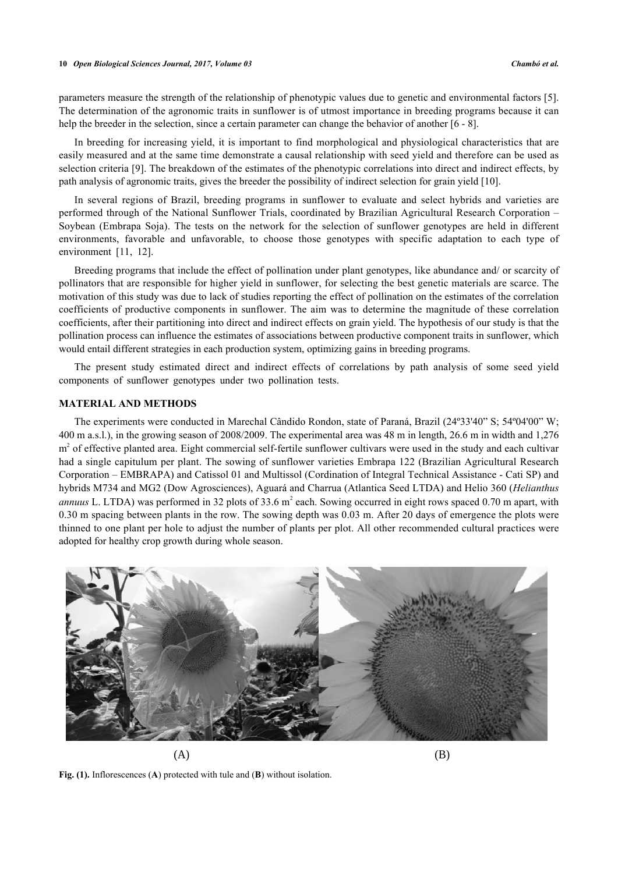parameters measure the strength of the relationship of phenotypic values due to genetic and environmental factors [[5\]](#page-6-0). The determination of the agronomic traits in sunflower is of utmost importance in breeding programs because it can help the breeder in the selection, since a certain parameter can change the behavior of another [\[6](#page-6-1) - [8\]](#page-6-2).

In breeding for increasing yield, it is important to find morphological and physiological characteristics that are easily measured and at the same time demonstrate a causal relationship with seed yield and therefore can be used as selection criteria [\[9](#page-6-3)]. The breakdown of the estimates of the phenotypic correlations into direct and indirect effects, by path analysis of agronomic traits, gives the breeder the possibility of indirect selection for grain yield [[10\]](#page-6-4).

In several regions of Brazil, breeding programs in sunflower to evaluate and select hybrids and varieties are performed through of the National Sunflower Trials, coordinated by Brazilian Agricultural Research Corporation – Soybean (Embrapa Soja). The tests on the network for the selection of sunflower genotypes are held in different environments, favorable and unfavorable, to choose those genotypes with specific adaptation to each type of environment [\[11](#page-6-5), [12](#page-6-6)].

Breeding programs that include the effect of pollination under plant genotypes, like abundance and/ or scarcity of pollinators that are responsible for higher yield in sunflower, for selecting the best genetic materials are scarce. The motivation of this study was due to lack of studies reporting the effect of pollination on the estimates of the correlation coefficients of productive components in sunflower. The aim was to determine the magnitude of these correlation coefficients, after their partitioning into direct and indirect effects on grain yield. The hypothesis of our study is that the pollination process can influence the estimates of associations between productive component traits in sunflower, which would entail different strategies in each production system, optimizing gains in breeding programs.

The present study estimated direct and indirect effects of correlations by path analysis of some seed yield components of sunflower genotypes under two pollination tests.

## **MATERIAL AND METHODS**

The experiments were conducted in Marechal Cândido Rondon, state of Paraná, Brazil (24º33'40" S; 54º04'00" W; 400 m a.s.l.), in the growing season of 2008/2009. The experimental area was 48 m in length, 26.6 m in width and 1,276 m<sup>2</sup> of effective planted area. Eight commercial self-fertile sunflower cultivars were used in the study and each cultivar had a single capitulum per plant. The sowing of sunflower varieties Embrapa 122 (Brazilian Agricultural Research Corporation – EMBRAPA) and Catissol 01 and Multissol (Cordination of Integral Technical Assistance - Cati SP) and hybrids M734 and MG2 (Dow Agrosciences), Aguará and Charrua (Atlantica Seed LTDA) and Helio 360 (*Helianthus annuus* L. LTDA) was performed in 32 plots of 33.6 m<sup>2</sup> each. Sowing occurred in eight rows spaced 0.70 m apart, with 0.30 m spacing between plants in the row. The sowing depth was 0.03 m. After 20 days of emergence the plots were thinned to one plant per hole to adjust the number of plants per plot. All other recommended cultural practices were adopted for healthy crop growth during whole season.

<span id="page-1-0"></span>

 $(A)$  (B)

**Fig. (1).** Inflorescences (**A**) protected with tule and (**B**) without isolation.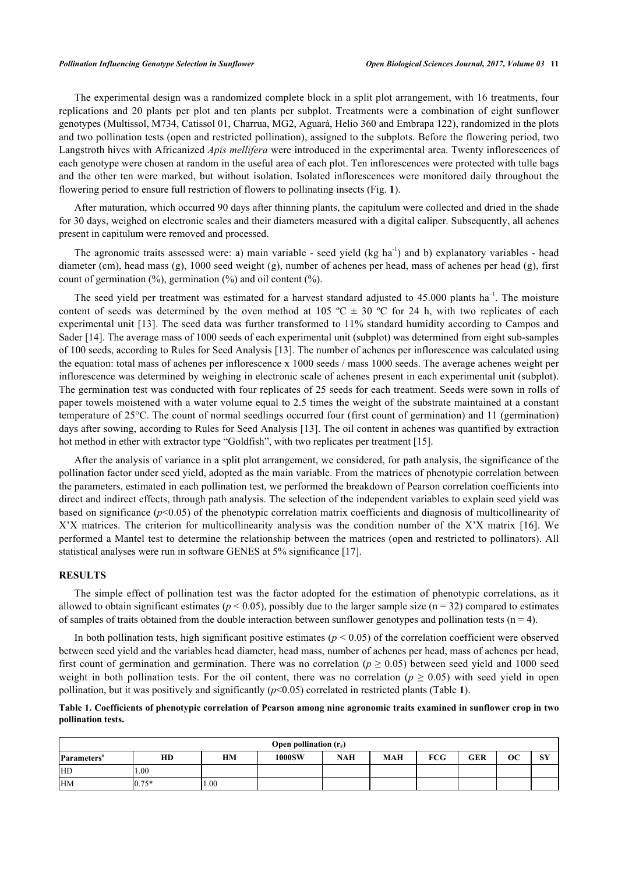The experimental design was a randomized complete block in a split plot arrangement, with 16 treatments, four replications and 20 plants per plot and ten plants per subplot. Treatments were a combination of eight sunflower genotypes (Multissol, M734, Catissol 01, Charrua, MG2, Aguará, Helio 360 and Embrapa 122), randomized in the plots and two pollination tests (open and restricted pollination), assigned to the subplots. Before the flowering period, two Langstroth hives with Africanized *Apis mellifera* were introduced in the experimental area. Twenty inflorescences of each genotype were chosen at random in the useful area of each plot. Ten inflorescences were protected with tulle bags and the other ten were marked, but without isolation. Isolated inflorescences were monitored daily throughout the flowering period to ensure full restriction of flowers to pollinating insects (Fig. **[1](#page-1-0)**).

After maturation, which occurred 90 days after thinning plants, the capitulum were collected and dried in the shade for 30 days, weighed on electronic scales and their diameters measured with a digital caliper. Subsequently, all achenes present in capitulum were removed and processed.

The agronomic traits assessed were: a) main variable - seed yield (kg ha<sup>-1</sup>) and b) explanatory variables - head diameter (cm), head mass (g), 1000 seed weight (g), number of achenes per head, mass of achenes per head (g), first count of germination  $(\%)$ , germination  $(\%)$  and oil content  $(\%)$ .

The seed yield per treatment was estimated for a harvest standard adjusted to 45.000 plants ha<sup>-1</sup>. The moisture content of seeds was determined by the oven method at 105  $^{\circ}$ C  $\pm$  30  $^{\circ}$ C for 24 h, with two replicates of each experimental unit [\[13](#page-6-7)]. The seed data was further transformed to 11% standard humidity according to Campos and Sader [\[14](#page-6-8)]. The average mass of 1000 seeds of each experimental unit (subplot) was determined from eight sub-samples of 100 seeds, according to Rules for Seed Analysis [[13](#page-6-7)]. The number of achenes per inflorescence was calculated using the equation: total mass of achenes per inflorescence x 1000 seeds / mass 1000 seeds. The average achenes weight per inflorescence was determined by weighing in electronic scale of achenes present in each experimental unit (subplot). The germination test was conducted with four replicates of 25 seeds for each treatment. Seeds were sown in rolls of paper towels moistened with a water volume equal to 2.5 times the weight of the substrate maintained at a constant temperature of 25°C. The count of normal seedlings occurred four (first count of germination) and 11 (germination) days after sowing, according to Rules for Seed Analysis [[13\]](#page-6-7). The oil content in achenes was quantified by extraction hot method in ether with extractor type "Goldfish", with two replicates per treatment [[15\]](#page-6-9).

After the analysis of variance in a split plot arrangement, we considered, for path analysis, the significance of the pollination factor under seed yield, adopted as the main variable. From the matrices of phenotypic correlation between the parameters, estimated in each pollination test, we performed the breakdown of Pearson correlation coefficients into direct and indirect effects, through path analysis. The selection of the independent variables to explain seed yield was based on significance (*p*<0.05) of the phenotypic correlation matrix coefficients and diagnosis of multicollinearity of X'X matrices. The criterion for multicollinearity analysis was the condition number of the X'X matrix [\[16\]](#page-6-10). We performed a Mantel test to determine the relationship between the matrices (open and restricted to pollinators). All statistical analyses were run in software GENES at 5% significance [[17\]](#page-6-11).

#### **RESULTS**

The simple effect of pollination test was the factor adopted for the estimation of phenotypic correlations, as it allowed to obtain significant estimates ( $p < 0.05$ ), possibly due to the larger sample size ( $n = 32$ ) compared to estimates of samples of traits obtained from the double interaction between sunflower genotypes and pollination tests ( $n = 4$ ).

In both pollination tests, high significant positive estimates ( $p < 0.05$ ) of the correlation coefficient were observed between seed yield and the variables head diameter, head mass, number of achenes per head, mass of achenes per head, first count of germination and germination. There was no correlation ( $p \ge 0.05$ ) between seed yield and 1000 seed weight in both pollination tests. For the oil content, there was no correlation ( $p \ge 0.05$ ) with seed yield in open pollination, but it was positively and significantly  $(p<0.05)$  correlated in restricted plants (Table [1](#page-2-0)).

<span id="page-2-0"></span>**Table 1. Coefficients of phenotypic correlation of Pearson among nine agronomic traits examined in sunflower crop in two pollination tests.**

| Open pollination $(r_F)$ |         |                   |        |            |            |     |            |    |          |
|--------------------------|---------|-------------------|--------|------------|------------|-----|------------|----|----------|
| Parameters <sup>*</sup>  | HD      | HМ                | 1000SW | <b>NAH</b> | <b>MAH</b> | FCG | <b>GER</b> | OС | CV<br>эн |
| <b>HD</b>                | 1.00    |                   |        |            |            |     |            |    |          |
| <b>HM</b>                | $0.75*$ | 1.00 <sub>1</sub> |        |            |            |     |            |    |          |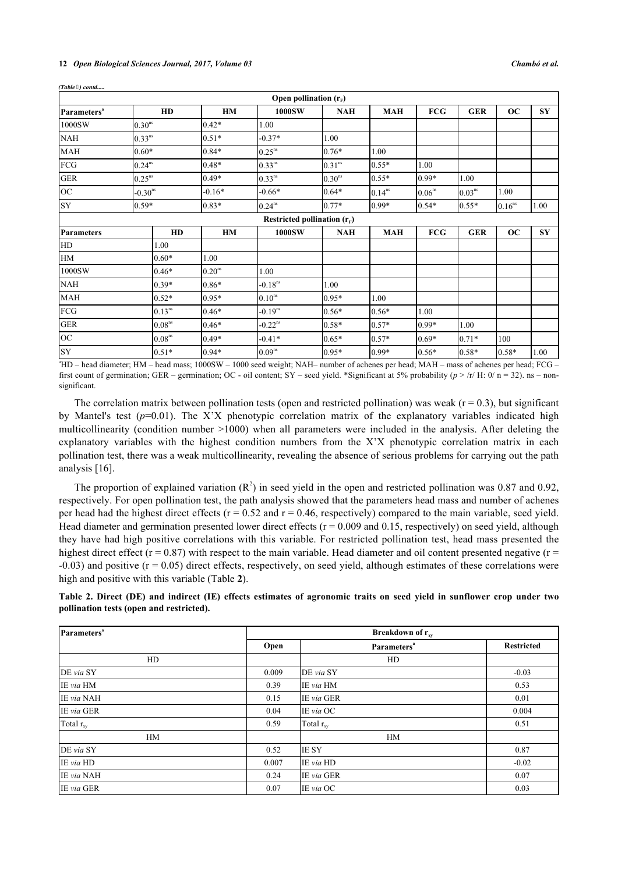#### **12** *Open Biological Sciences Journal, 2017, Volume 03 Chambó et al.*

|                         |                     |                    |                    | Open pollination $(r_F)$                   |                      |                    |                    |                    |                    |            |
|-------------------------|---------------------|--------------------|--------------------|--------------------------------------------|----------------------|--------------------|--------------------|--------------------|--------------------|------------|
| Parameters <sup>a</sup> | HD                  |                    | HM<br>1000SW       |                                            | <b>NAH</b>           | MAH                | <b>FCG</b>         | <b>GER</b>         | <b>OC</b>          | ${\bf SY}$ |
| 1000SW                  | 0.30 <sup>ns</sup>  |                    | $0.42*$            | 1.00                                       |                      |                    |                    |                    |                    |            |
| <b>NAH</b>              | 0.33 <sup>ns</sup>  |                    | $0.51*$            | $-0.37*$                                   | 1.00                 |                    |                    |                    |                    |            |
| <b>MAH</b>              | $0.60*$             |                    | $0.84*$            | 0.25 <sup>ns</sup>                         | $0.76*$              | 1.00               |                    |                    |                    |            |
| FCG                     | 0.24 <sup>ns</sup>  |                    | $0.48*$            | 0.33 <sup>ns</sup>                         | $0.31$ <sup>ns</sup> | $0.55*$            |                    |                    |                    |            |
| <b>GER</b>              | 0.25 <sup>ns</sup>  |                    | $0.49*$            | $0.33^{ns}$                                | 0.30 <sup>ns</sup>   | $0.55*$            | $0.99*$            | 1.00               |                    |            |
| <b>OC</b>               | $-0.30^{\text{ns}}$ |                    | $-0.16*$           | $-0.66*$                                   | $0.64*$              | 0.14 <sup>ns</sup> | 0.06 <sup>ns</sup> | 0.03 <sup>ns</sup> | 1.00               |            |
| SY                      | $0.59*$             |                    | $0.83*$            | $0.77*$<br>$0.99*$<br>$0.24$ <sup>ns</sup> |                      |                    | $0.54*$            | $0.55*$            | 0.16 <sup>ns</sup> | 1.00       |
|                         |                     |                    |                    | Restricted pollination $(r_F)$             |                      |                    |                    |                    |                    |            |
| <b>Parameters</b>       |                     | HD                 | HM                 | 1000SW                                     | <b>NAH</b>           | <b>MAH</b>         | <b>FCG</b>         | <b>GER</b>         | <b>OC</b>          | <b>SY</b>  |
| HD                      |                     | 1.00               |                    |                                            |                      |                    |                    |                    |                    |            |
| HM                      |                     | $0.60*$            | 1.00               |                                            |                      |                    |                    |                    |                    |            |
| 1000SW                  |                     | $0.46*$            | 0.20 <sup>ns</sup> | 1.00                                       |                      |                    |                    |                    |                    |            |
| <b>NAH</b>              |                     | $0.39*$            | $0.86*$            | $-0.18ns$                                  | 1.00                 |                    |                    |                    |                    |            |
| <b>MAH</b>              |                     | $0.52*$            | $0.95*$            | 0.10 <sup>ns</sup>                         | $0.95*$              | 1.00               |                    |                    |                    |            |
| FCG                     |                     | $0.13^{ns}$        | $0.46*$            | $-0.19^{ns}$                               | $0.56*$              | $0.56*$            | 1.00               |                    |                    |            |
| <b>GER</b>              |                     | 0.08 <sup>ns</sup> | $0.46*$            | $-0.22$ <sup>ns</sup>                      | $0.58*$              | $0.57*$            | $0.99*$            | 1.00               |                    |            |
| <b>OC</b>               |                     | 0.08 <sup>ns</sup> | $0.49*$            | $-0.41*$                                   | $0.65*$              | $0.57*$            | $0.69*$            | $0.71*$            | 100                |            |
| SY                      |                     | $0.51*$            | $0.94*$            | 0.09 <sup>ns</sup>                         | $0.95*$              | $0.99*$            | $0.56*$            | 0.58*              | $0.58*$            | 1.00       |

*(Table ) contd.....*

 $a<sup>a</sup>HD – head diameter; HM – head mass; 1000SW – 1000 seed weight; NAH– number of achenes per head; MAH – mass of achenes per head; FCG –$ first count of germination; GER – germination; OC - oil content; SY – seed yield. \*Significant at 5% probability (*p* > /r/ H: 0/ n = 32). ns – nonsignificant.

The correlation matrix between pollination tests (open and restricted pollination) was weak  $(r = 0.3)$ , but significant by Mantel's test (*p*=0.01). The X'X phenotypic correlation matrix of the explanatory variables indicated high multicollinearity (condition number >1000) when all parameters were included in the analysis. After deleting the explanatory variables with the highest condition numbers from the X'X phenotypic correlation matrix in each pollination test, there was a weak multicollinearity, revealing the absence of serious problems for carrying out the path analysis [[16\]](#page-6-10).

The proportion of explained variation  $(R^2)$  in seed yield in the open and restricted pollination was 0.87 and 0.92, respectively. For open pollination test, the path analysis showed that the parameters head mass and number of achenes per head had the highest direct effects ( $r = 0.52$  and  $r = 0.46$ , respectively) compared to the main variable, seed yield. Head diameter and germination presented lower direct effects  $(r = 0.009$  and 0.15, respectively) on seed yield, although they have had high positive correlations with this variable. For restricted pollination test, head mass presented the highest direct effect ( $r = 0.87$ ) with respect to the main variable. Head diameter and oil content presented negative ( $r =$  $-0.03$ ) and positive ( $r = 0.05$ ) direct effects, respectively, on seed yield, although estimates of these correlations were high and positive with this variable (Table **[2](#page-3-0)**).

<span id="page-3-0"></span>

| Table 2. Direct (DE) and indirect (IE) effects estimates of agronomic traits on seed yield in sunflower crop under two |  |  |  |  |  |  |  |  |
|------------------------------------------------------------------------------------------------------------------------|--|--|--|--|--|--|--|--|
| pollination tests (open and restricted).                                                                               |  |  |  |  |  |  |  |  |

| Parameters <sup>a</sup> | Breakdown of $r_{\rm w}$ |                         |                   |  |  |  |  |  |
|-------------------------|--------------------------|-------------------------|-------------------|--|--|--|--|--|
|                         | Open                     | Parameters <sup>a</sup> | <b>Restricted</b> |  |  |  |  |  |
| HD                      |                          | HD                      |                   |  |  |  |  |  |
| DE via SY               | 0.009                    | DE via SY               | $-0.03$           |  |  |  |  |  |
| IE via HM               | 0.39                     | IE via HM               | 0.53              |  |  |  |  |  |
| IE via NAH              | 0.15                     | IE via GER              | 0.01              |  |  |  |  |  |
| IE via GER              | 0.04                     | IE via OC               | 0.004             |  |  |  |  |  |
| Total $r_{xy}$          | 0.59                     | Total $r_{xy}$          | 0.51              |  |  |  |  |  |
| HM                      |                          | HM                      |                   |  |  |  |  |  |
| DE via SY               | 0.52                     | <b>IE SY</b>            | 0.87              |  |  |  |  |  |
| IE via HD               | 0.007                    | IE via HD               | $-0.02$           |  |  |  |  |  |
| IE via NAH              | 0.24                     | IE via GER              | 0.07              |  |  |  |  |  |
| IE via GER              | 0.07                     | IE via OC               | 0.03              |  |  |  |  |  |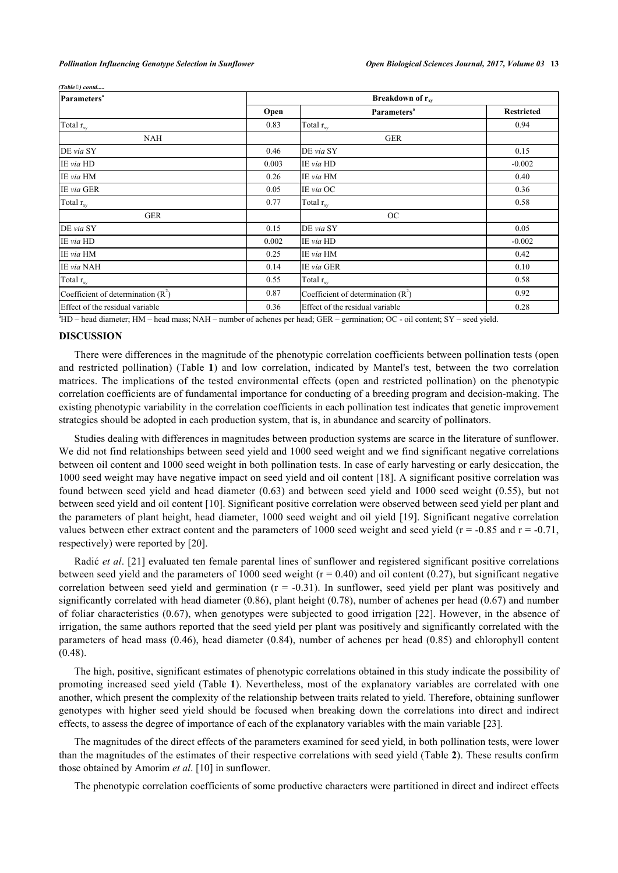| Parameters <sup>a</sup>              |       | Breakdown of r <sub>xv</sub>         |                   |  |  |  |  |  |
|--------------------------------------|-------|--------------------------------------|-------------------|--|--|--|--|--|
|                                      | Open  | Parameters <sup>a</sup>              | <b>Restricted</b> |  |  |  |  |  |
| Total $r_{xy}$                       | 0.83  | Total $r_{xy}$                       | 0.94              |  |  |  |  |  |
| <b>NAH</b>                           |       | <b>GER</b>                           |                   |  |  |  |  |  |
| DE via SY                            | 0.46  | DE via SY                            | 0.15              |  |  |  |  |  |
| IE via HD                            | 0.003 | IE via HD                            | $-0.002$          |  |  |  |  |  |
| IE via HM                            | 0.26  | IE via HM                            | 0.40              |  |  |  |  |  |
| IE via GER                           | 0.05  | IE via OC                            | 0.36              |  |  |  |  |  |
| Total $r_{xy}$                       | 0.77  | Total $r_{xy}$                       | 0.58              |  |  |  |  |  |
| <b>GER</b>                           |       | OC                                   |                   |  |  |  |  |  |
| DE via SY                            | 0.15  | DE via SY                            | 0.05              |  |  |  |  |  |
| IE via HD                            | 0.002 | IE via HD                            | $-0.002$          |  |  |  |  |  |
| IE via HM                            | 0.25  | IE via HM                            | 0.42              |  |  |  |  |  |
| IE via NAH                           | 0.14  | IE via GER                           | 0.10              |  |  |  |  |  |
| Total $r_{xy}$                       | 0.55  | Total $r_{xy}$                       | 0.58              |  |  |  |  |  |
| Coefficient of determination $(R^2)$ | 0.87  | Coefficient of determination $(R^2)$ | 0.92              |  |  |  |  |  |
| Effect of the residual variable      | 0.36  | Effect of the residual variable      | 0.28              |  |  |  |  |  |

*(Table ) contd.....*

<sup>a</sup>HD – head diameter; HM – head mass; NAH – number of achenes per head; GER – germination; OC - oil content; SY – seed yield.

## **DISCUSSION**

There were differences in the magnitude of the phenotypic correlation coefficients between pollination tests (open and restricted pollination) (Table**1**) and low correlation, indicated by Mantel's test, between the two correlation matrices. The implications of the tested environmental effects (open and restricted pollination) on the phenotypic correlation coefficients are of fundamental importance for conducting of a breeding program and decision-making. The existing phenotypic variability in the correlation coefficients in each pollination test indicates that genetic improvement strategies should be adopted in each production system, that is, in abundance and scarcity of pollinators.

Studies dealing with differences in magnitudes between production systems are scarce in the literature of sunflower. We did not find relationships between seed yield and 1000 seed weight and we find significant negative correlations between oil content and 1000 seed weight in both pollination tests. In case of early harvesting or early desiccation, the 1000 seed weight may have negative impact on seed yield and oil content [[18\]](#page-6-12). A significant positive correlation was found between seed yield and head diameter (0.63) and between seed yield and 1000 seed weight (0.55), but not between seed yield and oil content [\[10](#page-6-4)]. Significant positive correlation were observed between seed yield per plant and the parameters of plant height, head diameter, 1000 seed weight and oil yield [\[19\]](#page-6-13). Significant negative correlation values between ether extract content and the parameters of 1000 seed weight and seed yield ( $r = -0.85$  and  $r = -0.71$ , respectively) were reported by [\[20](#page-6-14)].

Radić *et al*. [\[21\]](#page-6-15) evaluated ten female parental lines of sunflower and registered significant positive correlations between seed yield and the parameters of 1000 seed weight ( $r = 0.40$ ) and oil content (0.27), but significant negative correlation between seed yield and germination  $(r = -0.31)$ . In sunflower, seed yield per plant was positively and significantly correlated with head diameter (0.86), plant height (0.78), number of achenes per head (0.67) and number of foliar characteristics (0.67), when genotypes were subjected to good irrigation [[22\]](#page-6-16). However, in the absence of irrigation, the same authors reported that the seed yield per plant was positively and significantly correlated with the parameters of head mass (0.46), head diameter (0.84), number of achenes per head (0.85) and chlorophyll content (0.48).

The high, positive, significant estimates of phenotypic correlations obtained in this study indicate the possibility of promoting increased seed yield (Table **[1](#page-2-0)**). Nevertheless, most of the explanatory variables are correlated with one another, which present the complexity of the relationship between traits related to yield. Therefore, obtaining sunflower genotypes with higher seed yield should be focused when breaking down the correlations into direct and indirect effects, to assess the degree of importance of each of the explanatory variables with the main variable [[23\]](#page-6-17).

The magnitudes of the direct effects of the parameters examined for seed yield, in both pollination tests, were lower than the magnitudes of the estimates of their respective correlations with seed yield (Table **[2](#page-3-0)**). These results confirm those obtained by Amorim *et al*. [[10\]](#page-6-4) in sunflower.

The phenotypic correlation coefficients of some productive characters were partitioned in direct and indirect effects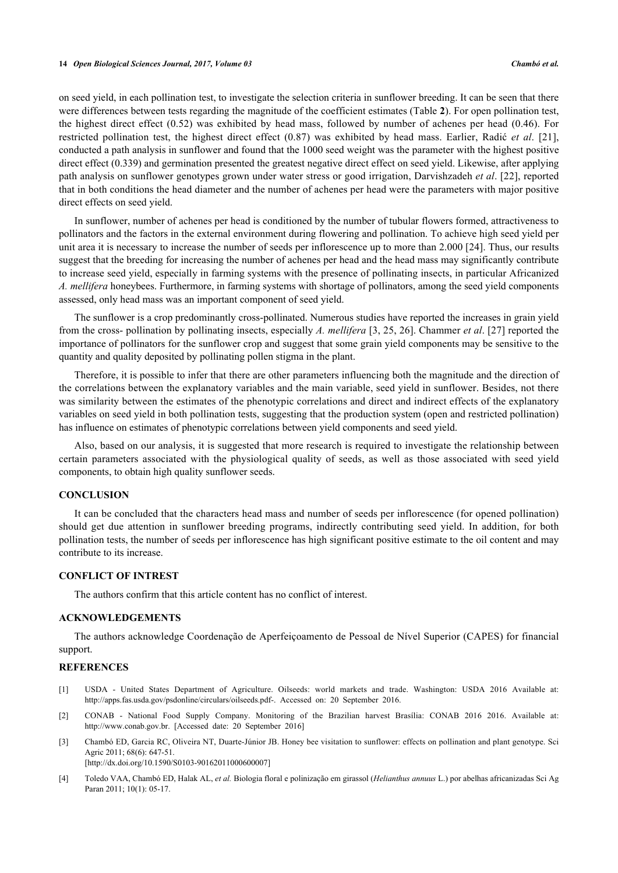on seed yield, in each pollination test, to investigate the selection criteria in sunflower breeding. It can be seen that there were differences between tests regarding the magnitude of the coefficient estimates (Table **[2](#page-3-0)**). For open pollination test, the highest direct effect (0.52) was exhibited by head mass, followed by number of achenes per head (0.46). For restricted pollination test, the highest direct effect (0.87) was exhibited by head mass. Earlier, Radić *et al*. [\[21\]](#page-6-15), conducted a path analysis in sunflower and found that the 1000 seed weight was the parameter with the highest positive direct effect (0.339) and germination presented the greatest negative direct effect on seed yield. Likewise, after applying path analysis on sunflower genotypes grown under water stress or good irrigation, Darvishzadeh *et al*. [\[22\]](#page-6-16), reported that in both conditions the head diameter and the number of achenes per head were the parameters with major positive direct effects on seed yield.

In sunflower, number of achenes per head is conditioned by the number of tubular flowers formed, attractiveness to pollinators and the factors in the external environment during flowering and pollination. To achieve high seed yield per unit area it is necessary to increase the number of seeds per inflorescence up to more than 2.000 [[24](#page-6-18)]. Thus, our results suggest that the breeding for increasing the number of achenes per head and the head mass may significantly contribute to increase seed yield, especially in farming systems with the presence of pollinating insects, in particular Africanized *A. mellifera* honeybees. Furthermore, in farming systems with shortage of pollinators, among the seed yield components assessed, only head mass was an important component of seed yield.

The sunflower is a crop predominantly cross-pollinated. Numerous studies have reported the increases in grain yield from the cross- pollination by pollinating insects, especially *A. mellifera* [[3](#page-5-2), [25,](#page-6-19) [26](#page-6-20)]. Chammer *et al*. [\[27](#page-6-21)] reported the importance of pollinators for the sunflower crop and suggest that some grain yield components may be sensitive to the quantity and quality deposited by pollinating pollen stigma in the plant.

Therefore, it is possible to infer that there are other parameters influencing both the magnitude and the direction of the correlations between the explanatory variables and the main variable, seed yield in sunflower. Besides, not there was similarity between the estimates of the phenotypic correlations and direct and indirect effects of the explanatory variables on seed yield in both pollination tests, suggesting that the production system (open and restricted pollination) has influence on estimates of phenotypic correlations between yield components and seed yield.

Also, based on our analysis, it is suggested that more research is required to investigate the relationship between certain parameters associated with the physiological quality of seeds, as well as those associated with seed yield components, to obtain high quality sunflower seeds.

## **CONCLUSION**

It can be concluded that the characters head mass and number of seeds per inflorescence (for opened pollination) should get due attention in sunflower breeding programs, indirectly contributing seed yield. In addition, for both pollination tests, the number of seeds per inflorescence has high significant positive estimate to the oil content and may contribute to its increase.

#### **CONFLICT OF INTREST**

The authors confirm that this article content has no conflict of interest.

## **ACKNOWLEDGEMENTS**

The authors acknowledge Coordenação de Aperfeiçoamento de Pessoal de Nível Superior (CAPES) for financial support.

#### **REFERENCES**

- <span id="page-5-0"></span>[1] USDA - United States Department of Agriculture. Oilseeds: world markets and trade. Washington: USDA 2016 Available at: [http://apps.fas.usda.gov/psdonline/circulars/oilseeds.pdf-.](http://apps.fas.usda.gov/psdonline/circulars/oilseeds.pdf-) Accessed on: 20 September 2016.
- <span id="page-5-1"></span>[2] CONAB - National Food Supply Company. Monitoring of the Brazilian harvest Brasília: CONAB 2016 2016. Available at: [http://www.conab.gov.br.](http://www.conab.gov.br) [Accessed date: 20 September 2016]
- <span id="page-5-2"></span>[3] Chambó ED, Garcia RC, Oliveira NT, Duarte-Júnior JB. Honey bee visitation to sunflower: effects on pollination and plant genotype. Sci Agric 2011; 68(6): 647-51.

[\[http://dx.doi.org/10.1590/S0103-90162011000600007\]](http://dx.doi.org/10.1590/S0103-90162011000600007)

<span id="page-5-3"></span>[4] Toledo VAA, Chambó ED, Halak AL, *et al.* Biologia floral e polinização em girassol (*Helianthus annuus* L.) por abelhas africanizadas Sci Ag Paran 2011; 10(1): 05-17.